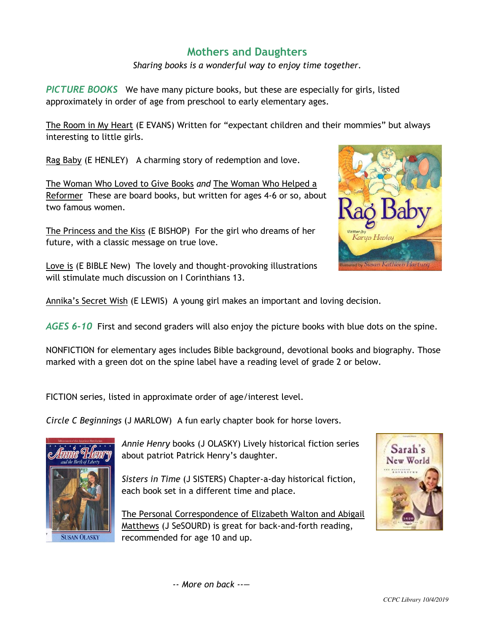## **Mothers and Daughters**

*Sharing books is a wonderful way to enjoy time together.* 

*PICTURE BOOKS* We have many picture books, but these are especially for girls, listed approximately in order of age from preschool to early elementary ages.

The Room in My Heart (E EVANS) Written for "expectant children and their mommies" but always interesting to little girls.

Rag Baby (E HENLEY) A charming story of redemption and love.

The Woman Who Loved to Give Books *and* The Woman Who Helped a Reformer These are board books, but written for ages 4-6 or so, about two famous women.

The Princess and the Kiss (E BISHOP) For the girl who dreams of her future, with a classic message on true love.

Love is (E BIBLE New) The lovely and thought-provoking illustrations will stimulate much discussion on I Corinthians 13.

Annika's Secret Wish (E LEWIS) A young girl makes an important and loving decision.

*AGES 6-10* First and second graders will also enjoy the picture books with blue dots on the spine.

NONFICTION for elementary ages includes Bible background, devotional books and biography. Those marked with a green dot on the spine label have a reading level of grade 2 or below.

FICTION series, listed in approximate order of age/interest level.

*Circle C Beginnings* (J MARLOW) A fun early chapter book for horse lovers.



*Annie Henry* books (J OLASKY) Lively historical fiction series about patriot Patrick Henry's daughter.

*Sisters in Time* (J SISTERS) Chapter-a-day historical fiction, each book set in a different time and place.

The Personal Correspondence of Elizabeth Walton and Abigail Matthews (J SeSOURD) is great for back-and-forth reading, recommended for age 10 and up.